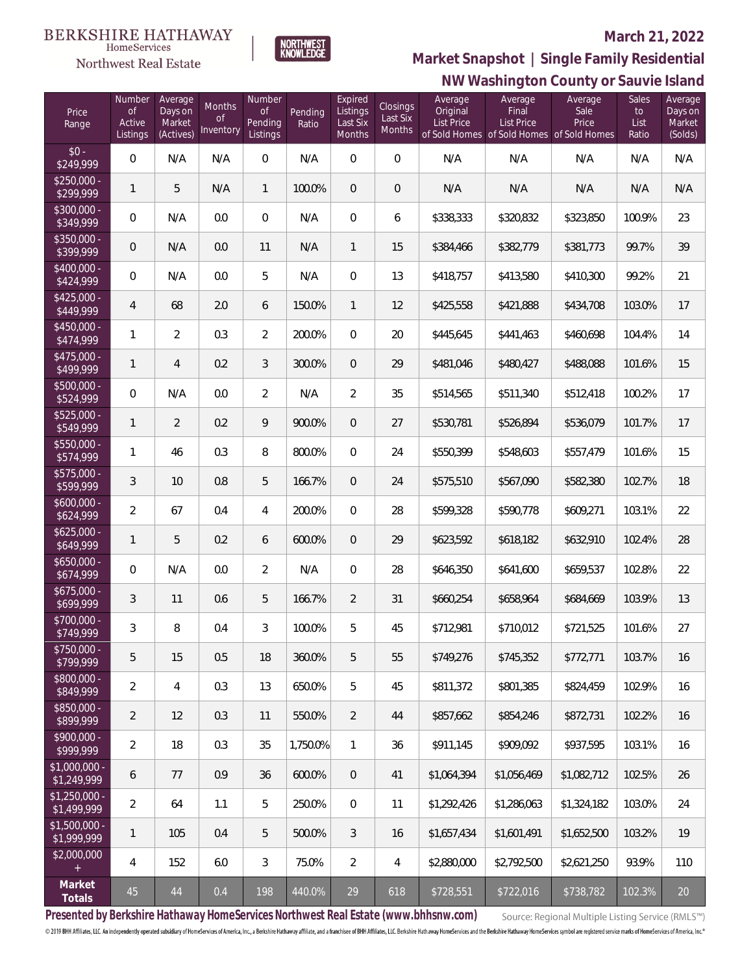#### **BERKSHIRE HATHAWAY** HomeServices

Northwest Real Estate



#### **March 21, 2022**

**NW Washington County or Sauvie Island Market Snapshot | Single Family Residential**

| Price<br>Range                | Number<br><b>of</b><br>Active<br>Listings | Average<br>Days on<br>Market<br>(Actives) | Months<br>0f<br>Inventory | Number<br><sub>of</sub><br>Pending<br>Listings | Pending<br>Ratio | Expired<br>Listings<br>Last Six<br>Months | Closings<br>Last Six<br>Months | Average<br>Original<br><b>List Price</b> | Average<br>Final<br><b>List Price</b><br>of Sold Homes of Sold Homes of Sold Homes | Average<br>Sale<br>Price | Sales<br>to<br>List<br>Ratio | Average<br>Days on<br>Market<br>(Solds) |
|-------------------------------|-------------------------------------------|-------------------------------------------|---------------------------|------------------------------------------------|------------------|-------------------------------------------|--------------------------------|------------------------------------------|------------------------------------------------------------------------------------|--------------------------|------------------------------|-----------------------------------------|
| $$0 -$<br>\$249,999           | $\mathbf 0$                               | N/A                                       | N/A                       | $\mathbf 0$                                    | N/A              | $\boldsymbol{0}$                          | $\mathbf{0}$                   | N/A                                      | N/A                                                                                | N/A                      | N/A                          | N/A                                     |
| $$250,000 -$<br>\$299,999     | $\mathbf{1}$                              | 5                                         | N/A                       | $\mathbf{1}$                                   | 100.0%           | $\overline{0}$                            | $\theta$                       | N/A                                      | N/A                                                                                | N/A                      | N/A                          | N/A                                     |
| \$300,000 -<br>\$349,999      | $\mathbf 0$                               | N/A                                       | 0.0                       | $\mathbf{0}$                                   | N/A              | 0                                         | 6                              | \$338,333                                | \$320,832                                                                          | \$323,850                | 100.9%                       | 23                                      |
| $$350,000 -$<br>\$399,999     | $\mathbf 0$                               | N/A                                       | 0.0                       | 11                                             | N/A              | $\mathbf{1}$                              | 15                             | \$384,466                                | \$382,779                                                                          | \$381,773                | 99.7%                        | 39                                      |
| $$400,000 -$<br>\$424,999     | $\mathbf 0$                               | N/A                                       | 0.0                       | 5                                              | N/A              | $\mathbf{0}$                              | 13                             | \$418,757                                | \$413,580                                                                          | \$410,300                | 99.2%                        | 21                                      |
| $$425,000 -$<br>\$449,999     | 4                                         | 68                                        | 2.0                       | 6                                              | 150.0%           | $\mathbf{1}$                              | 12                             | \$425,558                                | \$421,888                                                                          | \$434,708                | 103.0%                       | 17                                      |
| $$450.000 -$<br>\$474,999     | 1                                         | $\overline{2}$                            | 0.3                       | $\overline{2}$                                 | 200.0%           | $\mathbf{0}$                              | 20                             | \$445,645                                | \$441,463                                                                          | \$460,698                | 104.4%                       | 14                                      |
| $$475.000 -$<br>\$499,999     | 1                                         | 4                                         | 0.2                       | 3                                              | 300.0%           | $\overline{0}$                            | 29                             | \$481,046                                | \$480,427                                                                          | \$488,088                | 101.6%                       | 15                                      |
| $$500,000 -$<br>\$524,999     | $\overline{0}$                            | N/A                                       | 0.0                       | $\overline{2}$                                 | N/A              | $\overline{2}$                            | 35                             | \$514,565                                | \$511,340                                                                          | \$512,418                | 100.2%                       | 17                                      |
| $$525,000 -$<br>\$549,999     | 1                                         | $\overline{2}$                            | 0.2                       | 9                                              | 900.0%           | $\overline{0}$                            | 27                             | \$530,781                                | \$526,894                                                                          | \$536,079                | 101.7%                       | 17                                      |
| \$550,000 -<br>\$574,999      | 1                                         | 46                                        | 0.3                       | 8                                              | 800.0%           | $\mathbf{0}$                              | 24                             | \$550,399                                | \$548,603                                                                          | \$557,479                | 101.6%                       | 15                                      |
| \$575,000 -<br>\$599,999      | 3                                         | 10                                        | 0.8                       | 5                                              | 166.7%           | $\overline{0}$                            | 24                             | \$575,510                                | \$567,090                                                                          | \$582,380                | 102.7%                       | 18                                      |
| $$600,000 -$<br>\$624,999     | $\overline{2}$                            | 67                                        | 0.4                       | 4                                              | 200.0%           | $\overline{0}$                            | 28                             | \$599,328                                | \$590,778                                                                          | \$609,271                | 103.1%                       | 22                                      |
| $$625,000 -$<br>\$649,999     | 1                                         | 5                                         | 0.2                       | 6                                              | 600.0%           | $\overline{0}$                            | 29                             | \$623,592                                | \$618,182                                                                          | \$632,910                | 102.4%                       | 28                                      |
| \$650,000 -<br>\$674,999      | $\mathbf 0$                               | N/A                                       | 0.0                       | $\overline{2}$                                 | N/A              | $\overline{0}$                            | 28                             | \$646,350                                | \$641,600                                                                          | \$659,537                | 102.8%                       | 22                                      |
| $$675,000 -$<br>\$699,999     | 3                                         | 11                                        | 0.6                       | 5                                              | 166.7%           | $\overline{2}$                            | 31                             | \$660,254                                | \$658,964                                                                          | \$684,669                | 103.9%                       | 13                                      |
| \$700,000 -<br>\$749,999      | 3                                         | 8                                         | 0.4                       | 3                                              | 100.0%           | 5                                         | 45                             | \$712,981                                | \$710,012                                                                          | \$721,525                | 101.6%                       | 27                                      |
| \$750,000 -<br>\$799,999      | 5                                         | 15                                        | 0.5                       | 18                                             | 360.0%           | 5                                         | 55                             | \$749,276                                | \$745,352                                                                          | \$772,771                | 103.7%                       | 16                                      |
| \$800,000 -<br>\$849,999      | $\overline{2}$                            | 4                                         | 0.3                       | 13                                             | 650.0%           | 5                                         | 45                             | \$811,372                                | \$801,385                                                                          | \$824,459                | 102.9%                       | 16                                      |
| \$850,000 -<br>\$899,999      | $\overline{a}$                            | 12                                        | 0.3                       | 11                                             | 550.0%           | $\overline{2}$                            | 44                             | \$857,662                                | \$854,246                                                                          | \$872,731                | 102.2%                       | 16                                      |
| $$900,000 -$<br>\$999,999     | $\sqrt{2}$                                | 18                                        | 0.3                       | 35                                             | 1,750.0%         | $\mathbf{1}$                              | 36                             | \$911,145                                | \$909,092                                                                          | \$937,595                | 103.1%                       | 16                                      |
| \$1,000,000 -<br>\$1,249,999  | 6                                         | 77                                        | 0.9                       | 36                                             | 600.0%           | $\overline{0}$                            | 41                             | \$1,064,394                              | \$1,056,469                                                                        | \$1,082,712              | 102.5%                       | 26                                      |
| $$1,250,000 -$<br>\$1,499,999 | $\overline{2}$                            | 64                                        | 1.1                       | 5                                              | 250.0%           | $\mathbf{0}$                              | 11                             | \$1,292,426                              | \$1,286,063                                                                        | \$1,324,182              | 103.0%                       | 24                                      |
| $$1,500,000 -$<br>\$1,999,999 | 1                                         | 105                                       | 0.4                       | 5                                              | 500.0%           | 3                                         | 16                             | \$1,657,434                              | \$1,601,491                                                                        | \$1,652,500              | 103.2%                       | 19                                      |
| \$2,000,000<br>$+$            | 4                                         | 152                                       | 6.0                       | $\mathfrak{Z}$                                 | 75.0%            | $\overline{2}$                            | $\overline{4}$                 | \$2,880,000                              | \$2,792,500                                                                        | \$2,621,250              | 93.9%                        | 110                                     |
| Market<br>Totals              | 45                                        | $44\,$                                    | 0.4                       | 198                                            | 440.0%           | 29                                        | 618                            | \$728,551                                | \$722,016                                                                          | \$738,782                | 102.3%                       | $20\,$                                  |

**Presented by Berkshire Hathaway HomeServices Northwest Real Estate (www.bhhsnw.com)**

Source: Regional Multiple Listing Service (RMLS™)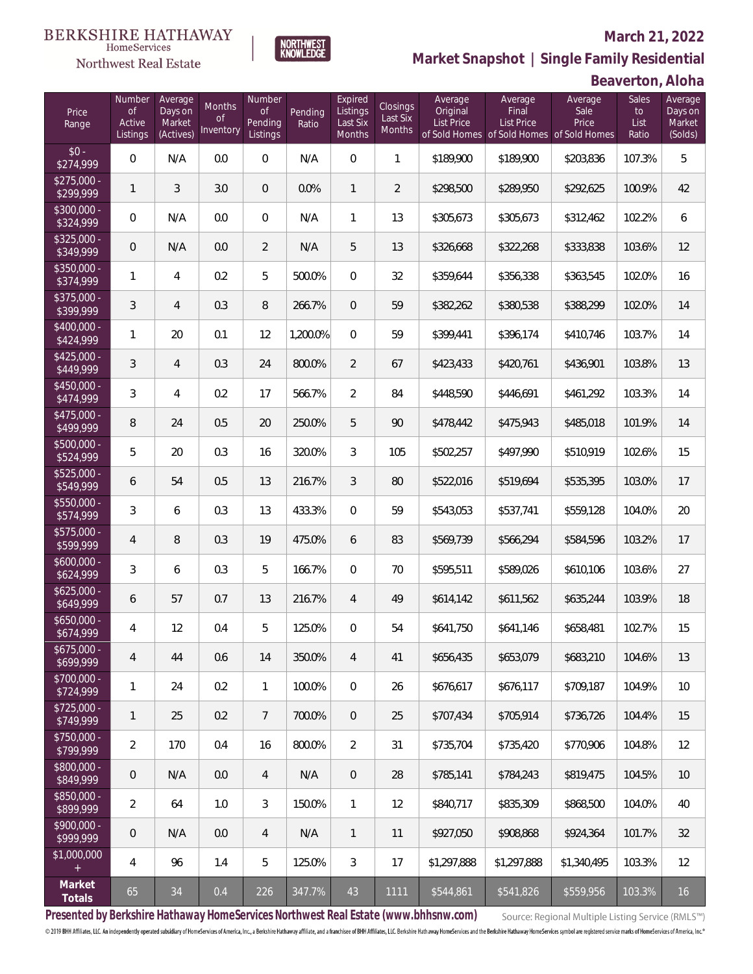### Northwest Real Estate

### **March 21, 2022**

**Market Snapshot | Single Family Residential**

## **Beaverton, Aloha**

| Price<br>Range            | Number<br><b>of</b><br>Active<br>Listings | Average<br>Days on<br>Market<br>(Actives) | Months<br><b>of</b><br>Inventory | Number<br><b>of</b><br>Pending<br>Listings | Pending<br>Ratio | Expired<br>Listings<br>Last Six<br>Months | Closings<br>Last Six<br><b>Months</b> | Average<br>Original<br><b>List Price</b> | Average<br>Final<br><b>List Price</b> | Average<br>Sale<br>Price<br>of Sold Homes of Sold Homes of Sold Homes | Sales<br>to<br>List<br>Ratio | Average<br>Days on<br>Market<br>(Solds) |
|---------------------------|-------------------------------------------|-------------------------------------------|----------------------------------|--------------------------------------------|------------------|-------------------------------------------|---------------------------------------|------------------------------------------|---------------------------------------|-----------------------------------------------------------------------|------------------------------|-----------------------------------------|
| $$0 -$<br>\$274,999       | $\overline{0}$                            | N/A                                       | 0.0                              | $\overline{0}$                             | N/A              | $\overline{0}$                            | $\mathbf{1}$                          | \$189,900                                | \$189,900                             | \$203,836                                                             | 107.3%                       | 5                                       |
| $$275,000 -$<br>\$299,999 | $\mathbf{1}$                              | 3                                         | 3.0                              | $\overline{0}$                             | 0.0%             | $\mathbf{1}$                              | $\overline{2}$                        | \$298,500                                | \$289,950                             | \$292,625                                                             | 100.9%                       | 42                                      |
| $$300,000 -$<br>\$324,999 | $\overline{0}$                            | N/A                                       | 0.0                              | $\overline{0}$                             | N/A              | 1                                         | 13                                    | \$305,673                                | \$305,673                             | \$312,462                                                             | 102.2%                       | 6                                       |
| $$325,000 -$<br>\$349,999 | $\overline{0}$                            | N/A                                       | 0.0                              | $\overline{2}$                             | N/A              | 5                                         | 13                                    | \$326,668                                | \$322,268                             | \$333,838                                                             | 103.6%                       | 12                                      |
| $$350,000 -$<br>\$374,999 | 1                                         | $\overline{4}$                            | 0.2                              | 5                                          | 500.0%           | $\Omega$                                  | 32                                    | \$359,644                                | \$356,338                             | \$363,545                                                             | 102.0%                       | 16                                      |
| $$375,000 -$<br>\$399,999 | 3                                         | $\overline{4}$                            | 0.3                              | 8                                          | 266.7%           | $\overline{0}$                            | 59                                    | \$382,262                                | \$380,538                             | \$388,299                                                             | 102.0%                       | 14                                      |
| $$400,000 -$<br>\$424,999 | 1                                         | 20                                        | 0.1                              | 12                                         | 1,200.0%         | $\overline{0}$                            | 59                                    | \$399,441                                | \$396,174                             | \$410,746                                                             | 103.7%                       | 14                                      |
| $$425,000 -$<br>\$449,999 | 3                                         | $\overline{4}$                            | 0.3                              | 24                                         | 800.0%           | $\overline{2}$                            | 67                                    | \$423,433                                | \$420,761                             | \$436,901                                                             | 103.8%                       | 13                                      |
| $$450,000 -$<br>\$474,999 | 3                                         | $\overline{4}$                            | 0.2                              | 17                                         | 566.7%           | $\overline{2}$                            | 84                                    | \$448,590                                | \$446,691                             | \$461,292                                                             | 103.3%                       | 14                                      |
| $$475,000 -$<br>\$499,999 | 8                                         | 24                                        | 0.5                              | 20                                         | 250.0%           | 5                                         | 90                                    | \$478,442                                | \$475,943                             | \$485,018                                                             | 101.9%                       | 14                                      |
| $$500,000 -$<br>\$524,999 | 5                                         | 20                                        | 0.3                              | 16                                         | 320.0%           | 3                                         | 105                                   | \$502,257                                | \$497,990                             | \$510,919                                                             | 102.6%                       | 15                                      |
| $$525,000 -$<br>\$549,999 | 6                                         | 54                                        | 0.5                              | 13                                         | 216.7%           | 3                                         | 80                                    | \$522,016                                | \$519,694                             | \$535,395                                                             | 103.0%                       | 17                                      |
| \$550,000 -<br>\$574,999  | 3                                         | 6                                         | 0.3                              | 13                                         | 433.3%           | $\Omega$                                  | 59                                    | \$543,053                                | \$537,741                             | \$559,128                                                             | 104.0%                       | 20                                      |
| $$575,000 -$<br>\$599,999 | 4                                         | 8                                         | 0.3                              | 19                                         | 475.0%           | 6                                         | 83                                    | \$569,739                                | \$566,294                             | \$584,596                                                             | 103.2%                       | 17                                      |
| $$600,000 -$<br>\$624,999 | 3                                         | 6                                         | 0.3                              | 5                                          | 166.7%           | $\Omega$                                  | 70                                    | \$595,511                                | \$589,026                             | \$610,106                                                             | 103.6%                       | 27                                      |
| $$625,000 -$<br>\$649,999 | 6                                         | 57                                        | 0.7                              | 13                                         | 216.7%           | $\overline{4}$                            | 49                                    | \$614,142                                | \$611,562                             | \$635,244                                                             | 103.9%                       | 18                                      |
| $$650,000 -$<br>\$674,999 | 4                                         | 12                                        | 0.4                              | 5                                          | 125.0%           | $\overline{0}$                            | 54                                    | \$641,750                                | \$641,146                             | \$658,481                                                             | 102.7%                       | 15                                      |
| $$675,000 -$<br>\$699,999 | 4                                         | 44                                        | 0.6                              | 14                                         | 350.0%           | 4                                         | 41                                    | \$656,435                                | \$653,079                             | \$683,210                                                             | 104.6%                       | 13                                      |
| \$700,000 -<br>\$724,999  | 1                                         | 24                                        | 0.2                              | $\mathbf{1}$                               | 100.0%           | $\mathbf 0$                               | 26                                    | \$676,617                                | \$676,117                             | \$709,187                                                             | 104.9%                       | 10                                      |
| \$725,000 -<br>\$749,999  | $\mathbf{1}$                              | 25                                        | 0.2                              | $7\phantom{.}$                             | 700.0%           | $\overline{0}$                            | 25                                    | \$707,434                                | \$705,914                             | \$736,726                                                             | 104.4%                       | 15                                      |
| \$750,000 -<br>\$799,999  | $\overline{2}$                            | 170                                       | 0.4                              | 16                                         | 800.0%           | $\overline{2}$                            | 31                                    | \$735,704                                | \$735,420                             | \$770,906                                                             | 104.8%                       | 12                                      |
| \$800,000 -<br>\$849,999  | 0                                         | N/A                                       | $0.0\,$                          | 4                                          | N/A              | $\overline{0}$                            | 28                                    | \$785,141                                | \$784,243                             | \$819,475                                                             | 104.5%                       | 10                                      |
| \$850,000 -<br>\$899,999  | $\overline{2}$                            | 64                                        | 1.0                              | 3                                          | 150.0%           | $\mathbf{1}$                              | 12                                    | \$840,717                                | \$835,309                             | \$868,500                                                             | 104.0%                       | 40                                      |
| \$900,000 -<br>\$999,999  | 0                                         | N/A                                       | 0.0                              | 4                                          | N/A              | $\mathbf{1}$                              | 11                                    | \$927,050                                | \$908,868                             | \$924,364                                                             | 101.7%                       | 32                                      |
| \$1,000,000<br>$+$        | 4                                         | 96                                        | 1.4                              | 5                                          | 125.0%           | 3                                         | 17                                    | \$1,297,888                              | \$1,297,888                           | \$1,340,495                                                           | 103.3%                       | 12                                      |
| Market<br>Totals          | 65                                        | 34                                        | 0.4                              | 226                                        | 347.7%           | 43                                        | 1111                                  | \$544,861                                | \$541,826                             | \$559,956                                                             | 103.3%                       | 16                                      |

NORTHWEST<br>KNOWLFDGF

**Presented by Berkshire Hathaway HomeServices Northwest Real Estate (www.bhhsnw.com)**

Source: Regional Multiple Listing Service (RMLS™)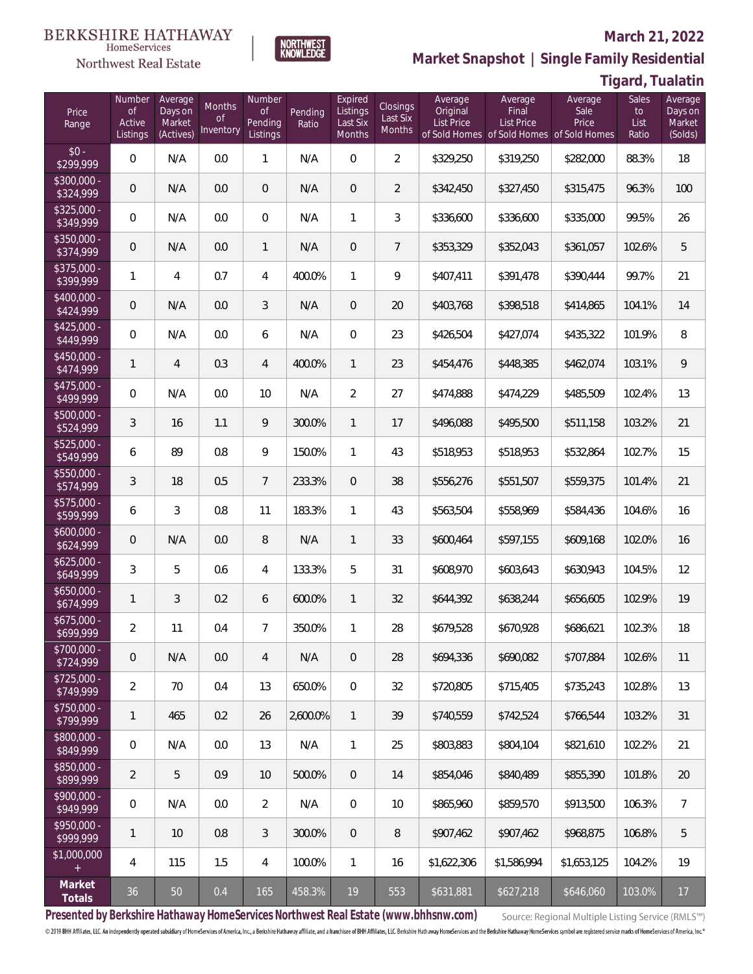### Northwest Real Estate

#### **March 21, 2022**

**Market Snapshot | Single Family Residential**

## **Tigard, Tualatin**

| Price<br>Range            | Number<br><b>of</b><br>Active<br>Listings | Average<br>Days on<br>Market<br>(Actives) | Months<br><b>of</b><br>Inventory | Number<br><b>of</b><br>Pending<br>Listings | Pending<br>Ratio | Expired<br>Listings<br>Last Six<br>Months | <b>Closings</b><br>Last Six<br>Months | Average<br>Original<br><b>List Price</b> | Average<br>Final<br><b>List Price</b> | Average<br>Sale<br>Price<br>of Sold Homes of Sold Homes of Sold Homes | Sales<br>to<br>List<br>Ratio | Average<br>Days on<br>Market<br>(Solds) |
|---------------------------|-------------------------------------------|-------------------------------------------|----------------------------------|--------------------------------------------|------------------|-------------------------------------------|---------------------------------------|------------------------------------------|---------------------------------------|-----------------------------------------------------------------------|------------------------------|-----------------------------------------|
| $$0 -$<br>\$299,999       | $\overline{0}$                            | N/A                                       | 0.0                              | $\mathbf{1}$                               | N/A              | $\overline{0}$                            | $\overline{2}$                        | \$329,250                                | \$319,250                             | \$282,000                                                             | 88.3%                        | 18                                      |
| $$300,000 -$<br>\$324,999 | $\overline{0}$                            | N/A                                       | 0.0                              | $\mathbf 0$                                | N/A              | $\overline{0}$                            | $\overline{2}$                        | \$342,450                                | \$327,450                             | \$315,475                                                             | 96.3%                        | 100                                     |
| $$325,000 -$<br>\$349,999 | $\mathbf 0$                               | N/A                                       | 0.0                              | $\mathbf{0}$                               | N/A              | $\mathbf{1}$                              | 3                                     | \$336,600                                | \$336,600                             | \$335,000                                                             | 99.5%                        | 26                                      |
| $$350,000 -$<br>\$374,999 | $\sqrt{0}$                                | N/A                                       | 0.0                              | $\mathbf{1}$                               | N/A              | $\overline{0}$                            | $\overline{7}$                        | \$353,329                                | \$352,043                             | \$361,057                                                             | 102.6%                       | 5                                       |
| $$375,000 -$<br>\$399,999 | $\mathbf{1}$                              | $\overline{4}$                            | 0.7                              | $\overline{4}$                             | 400.0%           | $\mathbf{1}$                              | 9                                     | \$407,411                                | \$391,478                             | \$390,444                                                             | 99.7%                        | 21                                      |
| $$400,000 -$<br>\$424,999 | $\sqrt{0}$                                | N/A                                       | 0.0                              | 3                                          | N/A              | $\overline{0}$                            | 20                                    | \$403,768                                | \$398,518                             | \$414,865                                                             | 104.1%                       | 14                                      |
| $$425,000 -$<br>\$449,999 | $\overline{0}$                            | N/A                                       | 0.0                              | 6                                          | N/A              | $\overline{0}$                            | 23                                    | \$426,504                                | \$427,074                             | \$435,322                                                             | 101.9%                       | 8                                       |
| $$450,000 -$<br>\$474,999 | $\mathbf{1}$                              | $\overline{4}$                            | 0.3                              | $\overline{4}$                             | 400.0%           | $\mathbf{1}$                              | 23                                    | \$454,476                                | \$448,385                             | \$462,074                                                             | 103.1%                       | $\mathcal{G}$                           |
| $$475,000 -$<br>\$499,999 | 0                                         | N/A                                       | 0.0                              | 10                                         | N/A              | $\overline{2}$                            | 27                                    | \$474,888                                | \$474,229                             | \$485,509                                                             | 102.4%                       | 13                                      |
| \$500,000 -<br>\$524,999  | 3                                         | 16                                        | 1.1                              | 9                                          | 300.0%           | $\mathbf{1}$                              | 17                                    | \$496,088                                | \$495,500                             | \$511,158                                                             | 103.2%                       | 21                                      |
| $$525,000 -$<br>\$549,999 | 6                                         | 89                                        | 0.8                              | 9                                          | 150.0%           | $\mathbf{1}$                              | 43                                    | \$518,953                                | \$518,953                             | \$532,864                                                             | 102.7%                       | 15                                      |
| \$550,000 -<br>\$574,999  | 3                                         | 18                                        | 0.5                              | $7\overline{ }$                            | 233.3%           | $\Omega$                                  | 38                                    | \$556,276                                | \$551,507                             | \$559,375                                                             | 101.4%                       | 21                                      |
| $$575,000 -$<br>\$599,999 | 6                                         | 3                                         | 0.8                              | 11                                         | 183.3%           | $\mathbf{1}$                              | 43                                    | \$563,504                                | \$558,969                             | \$584,436                                                             | 104.6%                       | 16                                      |
| $$600,000 -$<br>\$624,999 | $\overline{0}$                            | N/A                                       | 0.0                              | 8                                          | N/A              | $\mathbf{1}$                              | 33                                    | \$600,464                                | \$597,155                             | \$609,168                                                             | 102.0%                       | 16                                      |
| $$625,000 -$<br>\$649,999 | 3                                         | 5                                         | 0.6                              | 4                                          | 133.3%           | 5                                         | 31                                    | \$608,970                                | \$603,643                             | \$630,943                                                             | 104.5%                       | 12                                      |
| $$650,000 -$<br>\$674,999 | $\mathbf{1}$                              | $\mathfrak{Z}$                            | 0.2                              | 6                                          | 600.0%           | $\mathbf{1}$                              | 32                                    | \$644,392                                | \$638,244                             | \$656,605                                                             | 102.9%                       | 19                                      |
| $$675,000 -$<br>\$699,999 | $\overline{2}$                            | 11                                        | 0.4                              | $\overline{7}$                             | 350.0%           | $\mathbf{1}$                              | 28                                    | \$679,528                                | \$670,928                             | \$686,621                                                             | 102.3%                       | 18                                      |
| \$700,000 -<br>\$724,999  | $\mathsf{O}\xspace$                       | N/A                                       | $0.0\,$                          | 4                                          | N/A              | $\mathbf 0$                               | 28                                    | \$694,336                                | \$690,082                             | \$707,884                                                             | 102.6%                       | 11                                      |
| \$725,000 -<br>\$749,999  | $\overline{a}$                            | 70                                        | 0.4                              | 13                                         | 650.0%           | 0                                         | 32                                    | \$720,805                                | \$715,405                             | \$735,243                                                             | 102.8%                       | 13                                      |
| \$750,000 -<br>\$799,999  | $\mathbf{1}$                              | 465                                       | 0.2                              | 26                                         | 2,600.0%         | $\mathbf{1}$                              | 39                                    | \$740,559                                | \$742,524                             | \$766,544                                                             | 103.2%                       | 31                                      |
| \$800,000 -<br>\$849,999  | 0                                         | N/A                                       | $0.0\,$                          | 13                                         | N/A              | $\mathbf{1}$                              | 25                                    | \$803,883                                | \$804,104                             | \$821,610                                                             | 102.2%                       | 21                                      |
| \$850,000 -<br>\$899,999  | $\overline{2}$                            | 5                                         | 0.9                              | 10                                         | 500.0%           | $\overline{0}$                            | 14                                    | \$854,046                                | \$840,489                             | \$855,390                                                             | 101.8%                       | $20\,$                                  |
| \$900,000 -<br>\$949,999  | 0                                         | N/A                                       | $0.0\,$                          | $\overline{2}$                             | N/A              | $\overline{0}$                            | 10                                    | \$865,960                                | \$859,570                             | \$913,500                                                             | 106.3%                       | 7                                       |
| \$950,000 -<br>\$999,999  | 1                                         | 10                                        | $0.8\,$                          | $\mathfrak{Z}$                             | 300.0%           | $\overline{0}$                            | 8                                     | \$907,462                                | \$907,462                             | \$968,875                                                             | 106.8%                       | 5                                       |
| \$1,000,000<br>$+$        | 4                                         | 115                                       | 1.5                              | 4                                          | 100.0%           | $\mathbf{1}$                              | 16                                    | \$1,622,306                              | \$1,586,994                           | \$1,653,125                                                           | 104.2%                       | 19                                      |
| Market<br>Totals          | $36\,$                                    | $50\,$                                    | $0.4\,$                          | 165                                        | 458.3%           | $19$                                      | 553                                   | \$631,881                                | \$627,218                             | \$646,060                                                             | 103.0%                       | 17                                      |

**NORTHWEST**<br>KNOWLEDGE

**Presented by Berkshire Hathaway HomeServices Northwest Real Estate (www.bhhsnw.com)**

Source: Regional Multiple Listing Service (RMLS™)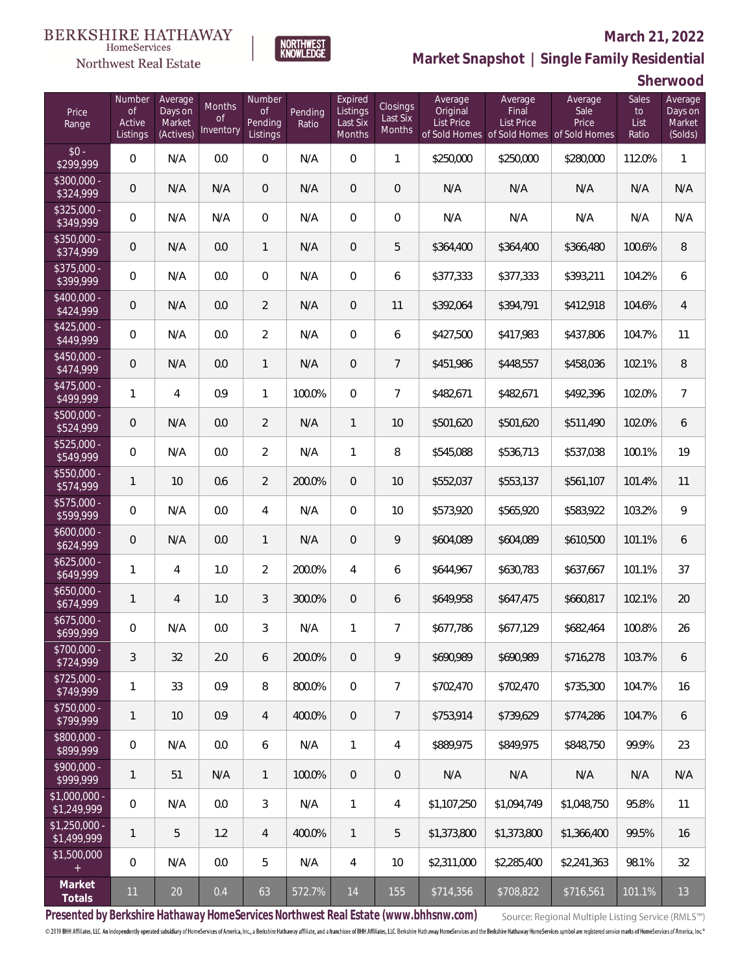## Northwest Real Estate

### **March 21, 2022**



## **Market Snapshot | Single Family Residential**

**Sherwood**

| Price<br>Range                | Number<br><b>of</b><br>Active<br>Listings | Average<br>Days on<br>Market<br>(Actives) | <b>Months</b><br><b>of</b><br>Inventory | Number<br>of<br>Pending<br>Listings | Pending<br>Ratio | Expired<br>Listings<br>Last Six<br>Months | Closings<br>Last Six<br>Months | Average<br>Original<br><b>List Price</b> | Average<br>Final<br>List Price | Average<br>Sale<br>Price<br>of Sold Homes of Sold Homes of Sold Homes | Sales<br>to<br>List<br>Ratio | Average<br>Days on<br>Market<br>(Solds) |
|-------------------------------|-------------------------------------------|-------------------------------------------|-----------------------------------------|-------------------------------------|------------------|-------------------------------------------|--------------------------------|------------------------------------------|--------------------------------|-----------------------------------------------------------------------|------------------------------|-----------------------------------------|
| $$0 -$<br>\$299,999           | $\overline{0}$                            | N/A                                       | 0.0                                     | $\overline{0}$                      | N/A              | $\overline{0}$                            | $\mathbf{1}$                   | \$250,000                                | \$250,000                      | \$280,000                                                             | 112.0%                       | $\mathbf{1}$                            |
| $$300,000 -$<br>\$324,999     | $\overline{0}$                            | N/A                                       | N/A                                     | $\overline{0}$                      | N/A              | $\overline{0}$                            | $\overline{0}$                 | N/A                                      | N/A                            | N/A                                                                   | N/A                          | N/A                                     |
| $$325,000 -$<br>\$349,999     | $\overline{0}$                            | N/A                                       | N/A                                     | $\overline{0}$                      | N/A              | $\Omega$                                  | $\overline{0}$                 | N/A                                      | N/A                            | N/A                                                                   | N/A                          | N/A                                     |
| $$350,000 -$<br>\$374,999     | $\overline{0}$                            | N/A                                       | 0.0                                     | $\mathbf{1}$                        | N/A              | $\overline{0}$                            | 5                              | \$364,400                                | \$364,400                      | \$366,480                                                             | 100.6%                       | 8                                       |
| $$375,000 -$<br>\$399,999     | $\overline{0}$                            | N/A                                       | 0.0                                     | $\overline{0}$                      | N/A              | $\overline{0}$                            | 6                              | \$377,333                                | \$377,333                      | \$393,211                                                             | 104.2%                       | 6                                       |
| $$400,000 -$<br>\$424,999     | $\overline{0}$                            | N/A                                       | 0.0                                     | $\overline{2}$                      | N/A              | 0                                         | 11                             | \$392,064                                | \$394,791                      | \$412,918                                                             | 104.6%                       | $\overline{4}$                          |
| $$425,000 -$<br>\$449,999     | $\overline{0}$                            | N/A                                       | 0.0                                     | $\overline{2}$                      | N/A              | $\overline{0}$                            | 6                              | \$427,500                                | \$417,983                      | \$437,806                                                             | 104.7%                       | 11                                      |
| $$450,000 -$<br>\$474,999     | $\overline{0}$                            | N/A                                       | 0.0                                     | $\mathbf{1}$                        | N/A              | $\overline{0}$                            | $7\overline{ }$                | \$451,986                                | \$448,557                      | \$458,036                                                             | 102.1%                       | 8                                       |
| $$475,000 -$<br>\$499,999     | 1                                         | 4                                         | 0.9                                     | $\mathbf{1}$                        | 100.0%           | $\Omega$                                  | $\overline{7}$                 | \$482,671                                | \$482,671                      | \$492,396                                                             | 102.0%                       | $\overline{7}$                          |
| \$500,000 -<br>\$524,999      | $\mathbf 0$                               | N/A                                       | 0.0                                     | $\overline{2}$                      | N/A              | $\mathbf{1}$                              | 10                             | \$501,620                                | \$501,620                      | \$511,490                                                             | 102.0%                       | 6                                       |
| $$525,000 -$<br>\$549,999     | $\overline{0}$                            | N/A                                       | 0.0                                     | $\overline{2}$                      | N/A              | 1                                         | 8                              | \$545,088                                | \$536,713                      | \$537,038                                                             | 100.1%                       | 19                                      |
| $$550,000 -$<br>\$574,999     | $\mathbf{1}$                              | 10                                        | 0.6                                     | $\overline{2}$                      | 200.0%           | $\overline{0}$                            | 10                             | \$552,037                                | \$553,137                      | \$561,107                                                             | 101.4%                       | 11                                      |
| $$575,000 -$<br>\$599,999     | $\mathbf{0}$                              | N/A                                       | 0.0                                     | 4                                   | N/A              | $\Omega$                                  | 10                             | \$573,920                                | \$565,920                      | \$583,922                                                             | 103.2%                       | $\mathsf{Q}$                            |
| $$600,000 -$<br>\$624,999     | $\mathbf 0$                               | N/A                                       | 0.0                                     | $\mathbf{1}$                        | N/A              | $\overline{0}$                            | 9                              | \$604,089                                | \$604,089                      | \$610,500                                                             | 101.1%                       | 6                                       |
| $$625,000 -$<br>\$649,999     | 1                                         | $\overline{4}$                            | 1.0                                     | $\overline{2}$                      | 200.0%           | $\overline{4}$                            | 6                              | \$644,967                                | \$630,783                      | \$637,667                                                             | 101.1%                       | 37                                      |
| $$650,000 -$<br>\$674,999     | $\mathbf{1}$                              | $\overline{4}$                            | 1.0                                     | 3                                   | 300.0%           | $\overline{0}$                            | 6                              | \$649,958                                | \$647,475                      | \$660,817                                                             | 102.1%                       | 20                                      |
| $$675,000 -$<br>\$699,999     | $\mathbf 0$                               | N/A                                       | 0.0                                     | 3                                   | N/A              | 1                                         | $\overline{7}$                 | \$677,786                                | \$677,129                      | \$682,464                                                             | 100.8%                       | 26                                      |
| \$700,000 -<br>\$724,999      | 3                                         | 32                                        | $2.0\,$                                 | 6                                   | 200.0%           | 0                                         | 9                              | \$690,989                                | \$690,989                      | \$716,278                                                             | 103.7%                       | 6                                       |
| \$725,000 -<br>\$749,999      | 1                                         | 33                                        | 0.9                                     | 8                                   | 800.0%           | $\overline{0}$                            | $\overline{7}$                 | \$702,470                                | \$702,470                      | \$735,300                                                             | 104.7%                       | 16                                      |
| \$750,000 -<br>\$799,999      | $\mathbf{1}$                              | 10                                        | 0.9                                     | $\overline{4}$                      | 400.0%           | $\overline{0}$                            | $\overline{7}$                 | \$753,914                                | \$739,629                      | \$774,286                                                             | 104.7%                       | 6                                       |
| \$800,000 -<br>\$899,999      | $\overline{0}$                            | N/A                                       | 0.0                                     | 6                                   | N/A              | $\mathbf{1}$                              | 4                              | \$889,975                                | \$849,975                      | \$848,750                                                             | 99.9%                        | 23                                      |
| \$900,000 -<br>\$999,999      | $\mathbf{1}$                              | 51                                        | N/A                                     | $\mathbf{1}$                        | 100.0%           | $\overline{0}$                            | $\mathbf 0$                    | N/A                                      | N/A                            | N/A                                                                   | N/A                          | N/A                                     |
| \$1,000,000 -<br>\$1,249,999  | 0                                         | N/A                                       | 0.0                                     | 3                                   | N/A              | $\mathbf{1}$                              | 4                              | \$1,107,250                              | \$1,094,749                    | \$1,048,750                                                           | 95.8%                        | 11                                      |
| $$1,250,000 -$<br>\$1,499,999 | $\mathbf{1}$                              | 5                                         | 1.2                                     | 4                                   | 400.0%           | $\mathbf{1}$                              | 5                              | \$1,373,800                              | \$1,373,800                    | \$1,366,400                                                           | 99.5%                        | 16                                      |
| \$1,500,000<br>$\pm$          | $\overline{0}$                            | N/A                                       | 0.0                                     | 5                                   | N/A              | 4                                         | 10                             | \$2,311,000                              | \$2,285,400                    | \$2,241,363                                                           | 98.1%                        | 32                                      |
| Market<br>Totals              | 11                                        | $20\,$                                    | 0.4                                     | 63                                  | 572.7%           | 14                                        | 155                            | \$714,356                                | \$708,822                      | \$716,561                                                             | 101.1%                       | 13                                      |

**Presented by Berkshire Hathaway HomeServices Northwest Real Estate (www.bhhsnw.com)**

Source: Regional Multiple Listing Service (RMLS™)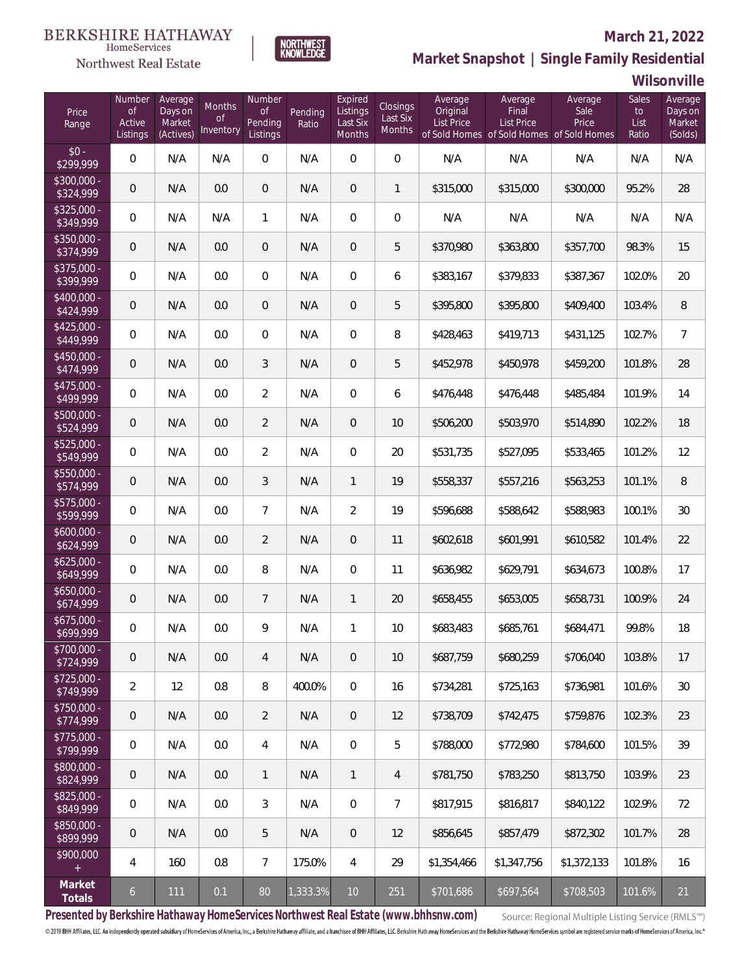## Northwest Real Estate

### **March 21, 2022**



## **Market Snapshot | Single Family Residential**

**Wilsonville**

| Price<br>Range            | Number<br><b>of</b><br>Active<br>Listings | Average<br>Days on<br>Market<br>(Actives) | <b>Months</b><br><b>of</b><br>Inventory | Number<br><b>of</b><br>Pending<br>Listings | Pending<br>Ratio | Expired<br>Listings<br>Last Six<br>Months | Closings<br>Last Six<br>Months | Average<br>Original<br><b>List Price</b> | Average<br>Final<br>List Price | Average<br>Sale<br>Price<br>of Sold Homes of Sold Homes of Sold Homes | Sales<br>$\mathsf{to}$<br>List<br>Ratio | Average<br>Days on<br>Market<br>(Solds) |
|---------------------------|-------------------------------------------|-------------------------------------------|-----------------------------------------|--------------------------------------------|------------------|-------------------------------------------|--------------------------------|------------------------------------------|--------------------------------|-----------------------------------------------------------------------|-----------------------------------------|-----------------------------------------|
| $$0 -$<br>\$299,999       | $\boldsymbol{0}$                          | N/A                                       | N/A                                     | $\overline{0}$                             | N/A              | $\mathbf 0$                               | $\overline{0}$                 | N/A                                      | N/A                            | N/A                                                                   | N/A                                     | N/A                                     |
| $$300,000 -$<br>\$324,999 | $\mathbf 0$                               | N/A                                       | 0.0                                     | $\boldsymbol{0}$                           | N/A              | $\overline{0}$                            | $\mathbf{1}$                   | \$315,000                                | \$315,000                      | \$300,000                                                             | 95.2%                                   | 28                                      |
| $$325,000 -$<br>\$349,999 | $\boldsymbol{0}$                          | N/A                                       | N/A                                     | $\mathbf{1}$                               | N/A              | $\overline{0}$                            | $\boldsymbol{0}$               | N/A                                      | N/A                            | N/A                                                                   | N/A                                     | N/A                                     |
| $$350,000 -$<br>\$374,999 | $\mathbf 0$                               | N/A                                       | 0.0                                     | $\overline{0}$                             | N/A              | $\overline{0}$                            | 5                              | \$370,980                                | \$363,800                      | \$357,700                                                             | 98.3%                                   | 15                                      |
| $$375,000 -$<br>\$399,999 | $\boldsymbol{0}$                          | N/A                                       | 0.0                                     | $\overline{0}$                             | N/A              | $\overline{0}$                            | 6                              | \$383,167                                | \$379,833                      | \$387,367                                                             | 102.0%                                  | 20                                      |
| $$400,000 -$<br>\$424,999 | $\mathbf 0$                               | N/A                                       | 0.0                                     | $\overline{0}$                             | N/A              | $\overline{0}$                            | 5                              | \$395,800                                | \$395,800                      | \$409,400                                                             | 103.4%                                  | 8                                       |
| $$425,000 -$<br>\$449,999 | $\boldsymbol{0}$                          | N/A                                       | 0.0                                     | $\overline{0}$                             | N/A              | $\overline{0}$                            | 8                              | \$428,463                                | \$419,713                      | \$431,125                                                             | 102.7%                                  | $\overline{7}$                          |
| $$450,000 -$<br>\$474,999 | $\mathbf 0$                               | N/A                                       | 0.0                                     | 3                                          | N/A              | $\overline{0}$                            | 5                              | \$452,978                                | \$450,978                      | \$459,200                                                             | 101.8%                                  | 28                                      |
| $$475,000 -$<br>\$499,999 | $\boldsymbol{0}$                          | N/A                                       | 0.0                                     | $\overline{2}$                             | N/A              | $\overline{0}$                            | 6                              | \$476,448                                | \$476,448                      | \$485,484                                                             | 101.9%                                  | 14                                      |
| $$500,000 -$<br>\$524,999 | $\mathbf 0$                               | N/A                                       | 0.0                                     | $\overline{2}$                             | N/A              | $\overline{0}$                            | 10                             | \$506,200                                | \$503,970                      | \$514,890                                                             | 102.2%                                  | 18                                      |
| $$525,000 -$<br>\$549,999 | $\boldsymbol{0}$                          | N/A                                       | 0.0                                     | $\overline{2}$                             | N/A              | $\overline{0}$                            | 20                             | \$531,735                                | \$527,095                      | \$533,465                                                             | 101.2%                                  | 12                                      |
| $$550,000 -$<br>\$574,999 | $\mathbf 0$                               | N/A                                       | 0.0                                     | 3                                          | N/A              | $\mathbf{1}$                              | 19                             | \$558,337                                | \$557,216                      | \$563,253                                                             | 101.1%                                  | 8                                       |
| $$575,000 -$<br>\$599,999 | $\boldsymbol{0}$                          | N/A                                       | 0.0                                     | $\overline{7}$                             | N/A              | $\overline{2}$                            | 19                             | \$596,688                                | \$588,642                      | \$588,983                                                             | 100.1%                                  | 30                                      |
| $$600,000 -$<br>\$624,999 | $\mathbf 0$                               | N/A                                       | 0.0                                     | $\overline{2}$                             | N/A              | $\overline{0}$                            | 11                             | \$602,618                                | \$601,991                      | \$610,582                                                             | 101.4%                                  | 22                                      |
| $$625,000 -$<br>\$649,999 | 0                                         | N/A                                       | 0.0                                     | 8                                          | N/A              | $\overline{0}$                            | 11                             | \$636,982                                | \$629,791                      | \$634,673                                                             | 100.8%                                  | 17                                      |
| $$650,000 -$<br>\$674,999 | $\mathbf 0$                               | N/A                                       | 0.0                                     | $7\overline{ }$                            | N/A              | $\mathbf{1}$                              | 20                             | \$658,455                                | \$653,005                      | \$658,731                                                             | 100.9%                                  | 24                                      |
| $$675,000 -$<br>\$699,999 | 0                                         | N/A                                       | 0.0                                     | 9                                          | N/A              | 1                                         | 10                             | \$683,483                                | \$685,761                      | \$684,471                                                             | 99.8%                                   | 18                                      |
| \$700,000 -<br>\$724,999  | 0                                         | N/A                                       | 0.0                                     | 4                                          | N/A              | 0                                         | 10                             | \$687,759                                | \$680,259                      | \$706,040                                                             | 103.8%                                  | 17                                      |
| \$725,000 -<br>\$749,999  | $\overline{2}$                            | 12                                        | 0.8                                     | 8                                          | 400.0%           | $\mathbf 0$                               | 16                             | \$734,281                                | \$725,163                      | \$736,981                                                             | 101.6%                                  | 30                                      |
| \$750,000 -<br>\$774,999  | 0                                         | N/A                                       | 0.0                                     | 2                                          | N/A              | $\overline{0}$                            | 12                             | \$738,709                                | \$742,475                      | \$759,876                                                             | 102.3%                                  | 23                                      |
| \$775,000 -<br>\$799,999  | $\overline{0}$                            | N/A                                       | 0.0                                     | 4                                          | N/A              | $\mathbb O$                               | 5                              | \$788,000                                | \$772,980                      | \$784,600                                                             | 101.5%                                  | 39                                      |
| \$800,000 -<br>\$824,999  | $\mathbf 0$                               | N/A                                       | 0.0                                     | $\mathbf{1}$                               | N/A              | $\mathbf{1}$                              | 4                              | \$781,750                                | \$783,250                      | \$813,750                                                             | 103.9%                                  | 23                                      |
| \$825,000 -<br>\$849,999  | 0                                         | N/A                                       | 0.0                                     | 3                                          | N/A              | $\mathbf 0$                               | 7                              | \$817,915                                | \$816,817                      | \$840,122                                                             | 102.9%                                  | 72                                      |
| \$850,000 -<br>\$899,999  | $\mathbf 0$                               | N/A                                       | 0.0                                     | 5                                          | N/A              | $\overline{0}$                            | 12                             | \$856,645                                | \$857,479                      | \$872,302                                                             | 101.7%                                  | 28                                      |
| \$900,000<br>$^{+}$       | 4                                         | 160                                       | 0.8                                     | 7                                          | 175.0%           | 4                                         | 29                             | \$1,354,466                              | \$1,347,756                    | \$1,372,133                                                           | 101.8%                                  | 16                                      |
| Market<br>Totals          | $\overline{6}$                            | 111                                       | 0.1                                     | 80                                         | 1,333.3%         | $10$                                      | 251                            | \$701,686                                | \$697,564                      | \$708,503                                                             | 101.6%                                  | 21                                      |

**Presented by Berkshire Hathaway HomeServices Northwest Real Estate (www.bhhsnw.com)**

Source: Regional Multiple Listing Service (RMLS™)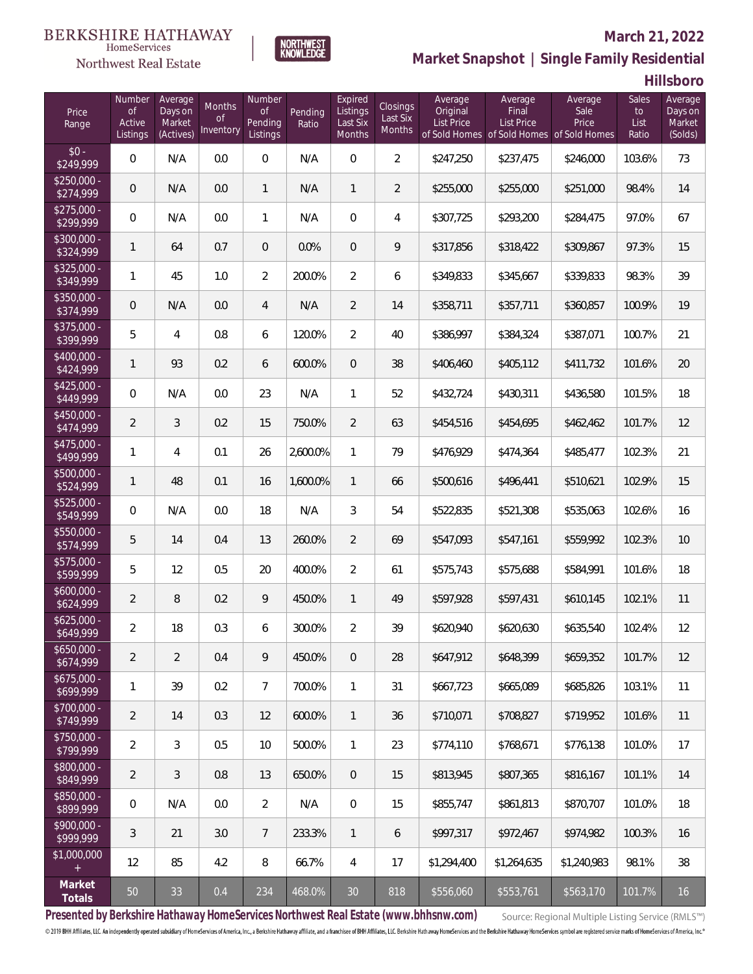## Northwest Real Estate

### **March 21, 2022**



## **Market Snapshot | Single Family Residential**

**Hillsboro**

| Price<br>Range            | Number<br><b>of</b><br>Active<br>Listings | Average<br>Days on<br>Market<br>(Actives) | Months<br>0f<br>Inventory | Number<br><b>of</b><br>Pending<br>Listings | Pending<br>Ratio | Expired<br>Listings<br>Last Six<br>Months | Closings<br>Last Six<br>Months | Average<br>Original<br>List Price | Average<br>Final<br>List Price<br>of Sold Homes of Sold Homes of Sold Homes | Average<br>Sale<br>Price | Sales<br>to<br>List<br>Ratio | Average<br>Days on<br>Market<br>(Solds) |
|---------------------------|-------------------------------------------|-------------------------------------------|---------------------------|--------------------------------------------|------------------|-------------------------------------------|--------------------------------|-----------------------------------|-----------------------------------------------------------------------------|--------------------------|------------------------------|-----------------------------------------|
| $$0 -$<br>\$249,999       | $\overline{0}$                            | N/A                                       | 0.0                       | $\overline{0}$                             | N/A              | $\overline{0}$                            | $\overline{2}$                 | \$247,250                         | \$237,475                                                                   | \$246,000                | 103.6%                       | 73                                      |
| $$250,000 -$<br>\$274,999 | $\overline{0}$                            | N/A                                       | 0.0                       | $\mathbf{1}$                               | N/A              | $\mathbf{1}$                              | $\overline{2}$                 | \$255,000                         | \$255,000                                                                   | \$251,000                | 98.4%                        | 14                                      |
| $$275,000 -$<br>\$299,999 | $\overline{0}$                            | N/A                                       | 0.0                       | $\mathbf{1}$                               | N/A              | $\overline{0}$                            | $\overline{4}$                 | \$307,725                         | \$293,200                                                                   | \$284,475                | 97.0%                        | 67                                      |
| $$300,000 -$<br>\$324,999 | $\mathbf{1}$                              | 64                                        | 0.7                       | $\overline{0}$                             | 0.0%             | $\overline{0}$                            | 9                              | \$317,856                         | \$318,422                                                                   | \$309,867                | 97.3%                        | 15                                      |
| $$325,000 -$<br>\$349,999 | $\mathbf{1}$                              | 45                                        | 1.0                       | $\overline{2}$                             | 200.0%           | $\overline{2}$                            | 6                              | \$349,833                         | \$345,667                                                                   | \$339,833                | 98.3%                        | 39                                      |
| $$350,000 -$<br>\$374,999 | $\mathbf 0$                               | N/A                                       | 0.0                       | $\overline{4}$                             | N/A              | $\overline{2}$                            | 14                             | \$358,711                         | \$357,711                                                                   | \$360,857                | 100.9%                       | 19                                      |
| $$375,000 -$<br>\$399,999 | 5                                         | $\overline{4}$                            | 0.8                       | 6                                          | 120.0%           | $\overline{2}$                            | 40                             | \$386,997                         | \$384,324                                                                   | \$387,071                | 100.7%                       | 21                                      |
| \$400,000 -<br>\$424,999  | $\mathbf{1}$                              | 93                                        | 0.2                       | 6                                          | 600.0%           | $\overline{0}$                            | 38                             | \$406,460                         | \$405,112                                                                   | \$411,732                | 101.6%                       | 20                                      |
| $$425,000 -$<br>\$449,999 | $\overline{0}$                            | N/A                                       | 0.0                       | 23                                         | N/A              | 1                                         | 52                             | \$432,724                         | \$430,311                                                                   | \$436,580                | 101.5%                       | 18                                      |
| $$450,000 -$<br>\$474,999 | $\overline{2}$                            | 3                                         | 0.2                       | 15                                         | 750.0%           | $\overline{2}$                            | 63                             | \$454,516                         | \$454,695                                                                   | \$462,462                | 101.7%                       | 12                                      |
| $$475,000 -$<br>\$499,999 | $\mathbf{1}$                              | $\overline{4}$                            | 0.1                       | 26                                         | 2,600.0%         | $\mathbf{1}$                              | 79                             | \$476,929                         | \$474,364                                                                   | \$485,477                | 102.3%                       | 21                                      |
| $$500,000 -$<br>\$524,999 | $\mathbf{1}$                              | 48                                        | 0.1                       | 16                                         | 1,600.0%         | $\mathbf{1}$                              | 66                             | \$500,616                         | \$496,441                                                                   | \$510,621                | 102.9%                       | 15                                      |
| $$525,000 -$<br>\$549,999 | $\mathbf 0$                               | N/A                                       | 0.0                       | 18                                         | N/A              | 3                                         | 54                             | \$522,835                         | \$521,308                                                                   | \$535,063                | 102.6%                       | 16                                      |
| \$550,000 -<br>\$574,999  | 5                                         | 14                                        | 0.4                       | 13                                         | 260.0%           | $\overline{2}$                            | 69                             | \$547,093                         | \$547,161                                                                   | \$559,992                | 102.3%                       | 10                                      |
| $$575,000 -$<br>\$599,999 | 5                                         | 12                                        | 0.5                       | 20                                         | 400.0%           | $\overline{2}$                            | 61                             | \$575,743                         | \$575,688                                                                   | \$584,991                | 101.6%                       | 18                                      |
| $$600,000 -$<br>\$624,999 | $\overline{2}$                            | 8                                         | 0.2                       | 9                                          | 450.0%           | $\mathbf{1}$                              | 49                             | \$597,928                         | \$597,431                                                                   | \$610,145                | 102.1%                       | 11                                      |
| $$625,000 -$<br>\$649,999 | $\overline{2}$                            | 18                                        | 0.3                       | 6                                          | 300.0%           | $\overline{2}$                            | 39                             | \$620,940                         | \$620,630                                                                   | \$635,540                | 102.4%                       | 12                                      |
| $$650,000 -$<br>\$674,999 | $\overline{2}$                            | $\overline{2}$                            | 0.4                       | 9                                          | 450.0%           | $\overline{0}$                            | 28                             | \$647,912                         | \$648,399                                                                   | \$659,352                | 101.7%                       | 12                                      |
| $$675,000 -$<br>\$699,999 | 1                                         | 39                                        | 0.2                       | $\overline{7}$                             | 700.0%           | $\mathbf{1}$                              | 31                             | \$667,723                         | \$665,089                                                                   | \$685,826                | 103.1%                       | 11                                      |
| \$700,000 -<br>\$749,999  | $\overline{2}$                            | 14                                        | 0.3                       | 12                                         | 600.0%           | $\mathbf{1}$                              | 36                             | \$710,071                         | \$708,827                                                                   | \$719,952                | 101.6%                       | 11                                      |
| \$750,000 -<br>\$799,999  | $\overline{2}$                            | 3                                         | 0.5                       | 10                                         | 500.0%           | $\mathbf{1}$                              | 23                             | \$774,110                         | \$768,671                                                                   | \$776,138                | 101.0%                       | 17                                      |
| \$800,000 -<br>\$849,999  | $\overline{2}$                            | 3                                         | 0.8                       | 13                                         | 650.0%           | $\overline{0}$                            | 15                             | \$813,945                         | \$807,365                                                                   | \$816,167                | 101.1%                       | 14                                      |
| \$850,000 -<br>\$899,999  | 0                                         | N/A                                       | 0.0                       | $\overline{2}$                             | N/A              | $\mathbf 0$                               | 15                             | \$855,747                         | \$861,813                                                                   | \$870,707                | 101.0%                       | 18                                      |
| \$900,000 -<br>\$999,999  | 3                                         | 21                                        | 3.0                       | $\overline{7}$                             | 233.3%           | $\mathbf{1}$                              | 6                              | \$997,317                         | \$972,467                                                                   | \$974,982                | 100.3%                       | 16                                      |
| \$1,000,000<br>$+$        | 12                                        | 85                                        | 4.2                       | 8                                          | 66.7%            | 4                                         | 17                             | \$1,294,400                       | \$1,264,635                                                                 | \$1,240,983              | 98.1%                        | 38                                      |
| Market<br>Totals          | 50                                        | 33                                        | 0.4                       | 234                                        | 468.0%           | $30\,$                                    | 818                            | \$556,060                         | \$553,761                                                                   | \$563,170                | 101.7%                       | 16                                      |

**Presented by Berkshire Hathaway HomeServices Northwest Real Estate (www.bhhsnw.com)**

Source: Regional Multiple Listing Service (RMLS™)